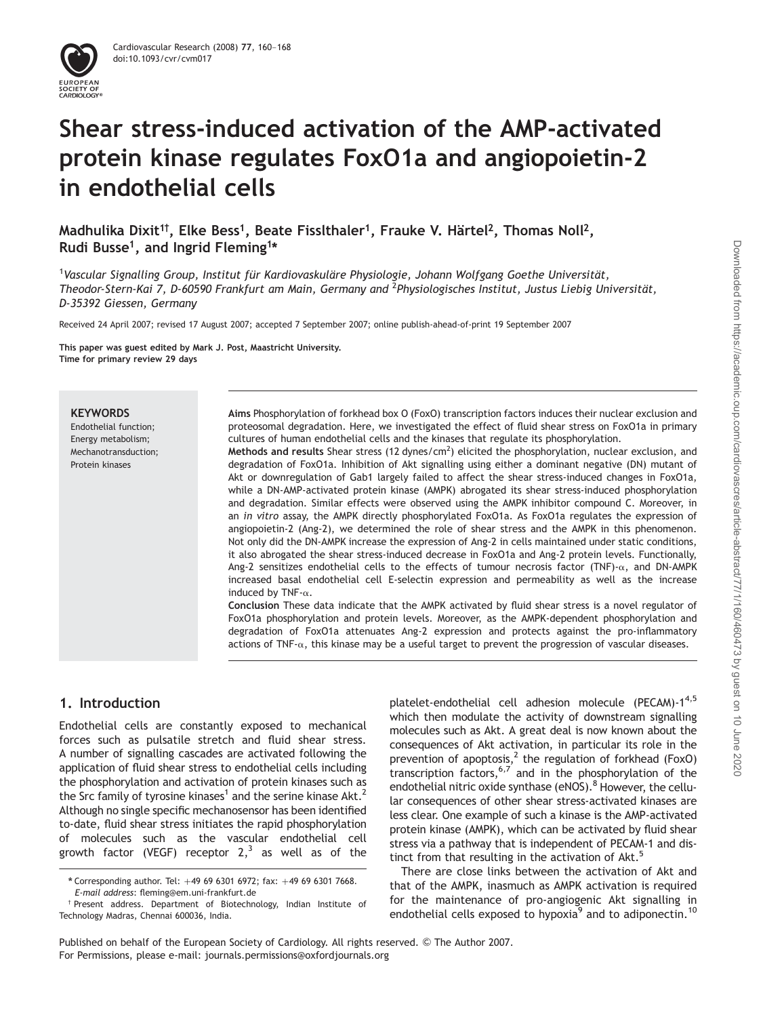

# Shear stress-induced activation of the AMP-activated protein kinase regulates FoxO1a and angiopoietin-2 in endothelial cells

Madhulika Dixit $^{\rm 1\dagger}$ , Elke Bess $^{\rm 1}$ , Beate Fisslthaler $^{\rm 1}$ , Frauke V. Härtel $^{\rm 2}$ , Thomas Noll $^{\rm 2}$ , Rudi Busse<sup>1</sup>, and Ingrid Fleming<sup>1</sup>\*

 $^1$ Vascular Signalling Group, Institut für Kardiovaskuläre Physiologie, Johann Wolfgang Goethe Universität, Theodor-Stern-Kai 7, D-60590 Frankfurt am Main, Germany and <sup>2</sup>Physiologisches Institut, Justus Liebig Universität, D-35392 Giessen, Germany

Received 24 April 2007; revised 17 August 2007; accepted 7 September 2007; online publish-ahead-of-print 19 September 2007

This paper was guest edited by Mark J. Post, Maastricht University. Time for primary review 29 days

#### **KEYWORDS**

Endothelial function; Energy metabolism; Mechanotransduction; Protein kinases

Aims Phosphorylation of forkhead box O (FoxO) transcription factors induces their nuclear exclusion and proteosomal degradation. Here, we investigated the effect of fluid shear stress on FoxO1a in primary cultures of human endothelial cells and the kinases that regulate its phosphorylation.

Methods and results Shear stress (12 dynes/cm<sup>2</sup>) elicited the phosphorylation, nuclear exclusion, and degradation of FoxO1a. Inhibition of Akt signalling using either a dominant negative (DN) mutant of Akt or downregulation of Gab1 largely failed to affect the shear stress-induced changes in FoxO1a, while a DN-AMP-activated protein kinase (AMPK) abrogated its shear stress-induced phosphorylation and degradation. Similar effects were observed using the AMPK inhibitor compound C. Moreover, in an in vitro assay, the AMPK directly phosphorylated FoxO1a. As FoxO1a regulates the expression of angiopoietin-2 (Ang-2), we determined the role of shear stress and the AMPK in this phenomenon. Not only did the DN-AMPK increase the expression of Ang-2 in cells maintained under static conditions, it also abrogated the shear stress-induced decrease in FoxO1a and Ang-2 protein levels. Functionally, Ang-2 sensitizes endothelial cells to the effects of tumour necrosis factor (TNF)- $\alpha$ , and DN-AMPK increased basal endothelial cell E-selectin expression and permeability as well as the increase induced by TNF- $\alpha$ .

Conclusion These data indicate that the AMPK activated by fluid shear stress is a novel regulator of FoxO1a phosphorylation and protein levels. Moreover, as the AMPK-dependent phosphorylation and degradation of FoxO1a attenuates Ang-2 expression and protects against the pro-inflammatory actions of TNF- $\alpha$ , this kinase may be a useful target to prevent the progression of vascular diseases.

## 1. Introduction

Endothelial cells are constantly exposed to mechanical forces such as pulsatile stretch and fluid shear stress. A number of signalling cascades are activated following the application of fluid shear stress to endothelial cells including the phosphorylation and activation of protein kinases such as the Src family of tyrosine kinases<sup>1</sup> and the serine kinase Akt.<sup>2</sup> Although no single specific mechanosensor has been identified to-date, fluid shear stress initiates the rapid phosphorylation of molecules such as the vascular endothelial cell growth factor (VEGF) receptor  $2,3$  as well as of the platelet-endothelial cell adhesion molecule (PECAM)-14,5 which then modulate the activity of downstream signalling molecules such as Akt. A great deal is now known about the consequences of Akt activation, in particular its role in the prevention of apoptosis,<sup>2</sup> the regulation of forkhead (FoxO) transcription factors,  $6,7$  and in the phosphorylation of the endothelial nitric oxide synthase (eNOS).<sup>8</sup> However, the cellular consequences of other shear stress-activated kinases are less clear. One example of such a kinase is the AMP-activated protein kinase (AMPK), which can be activated by fluid shear stress via a pathway that is independent of PECAM-1 and distinct from that resulting in the activation of Akt.<sup>5</sup>

There are close links between the activation of Akt and that of the AMPK, inasmuch as AMPK activation is required for the maintenance of pro-angiogenic Akt signalling in endothelial cells exposed to hypoxia<sup>9</sup> and to adiponectin.<sup>10</sup>

Published on behalf of the European Society of Cardiology. All rights reserved. © The Author 2007. For Permissions, please e-mail: journals.permissions@oxfordjournals.org

<sup>\*</sup> Corresponding author. Tel:  $+49$  69 6301 6972; fax:  $+49$  69 6301 7668. E-mail address: fleming@em.uni-frankfurt.de

<sup>†</sup> Present address. Department of Biotechnology, Indian Institute of Technology Madras, Chennai 600036, India.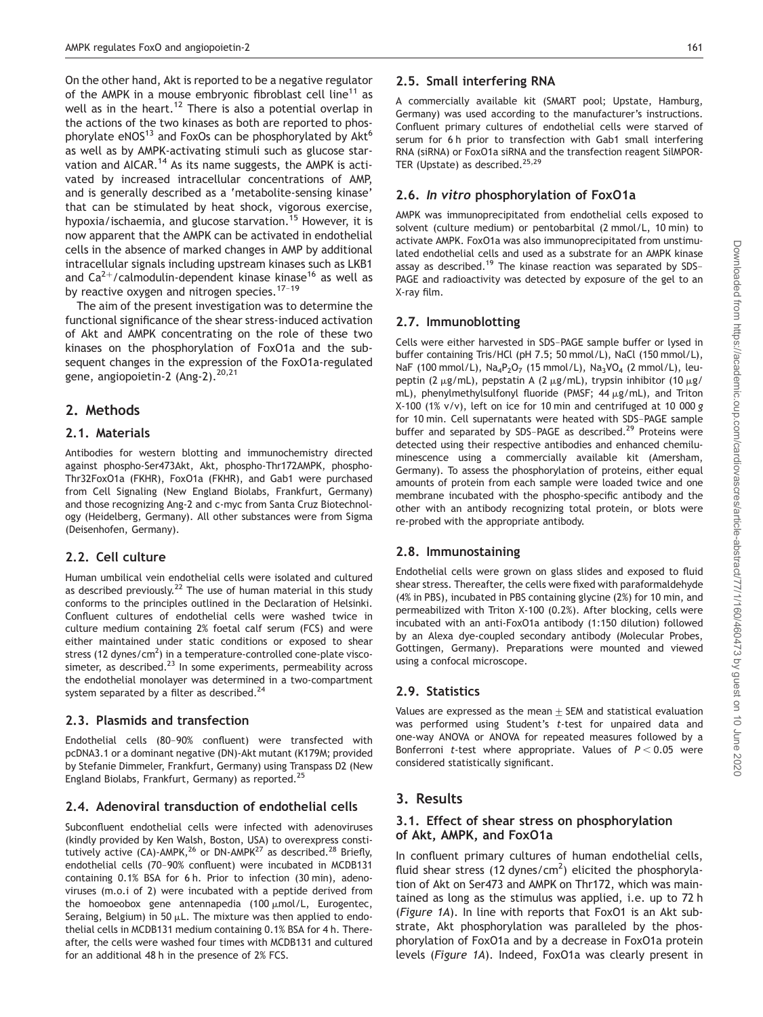On the other hand, Akt is reported to be a negative regulator of the AMPK in a mouse embryonic fibroblast cell line<sup>11</sup> as well as in the heart.<sup>12</sup> There is also a potential overlap in the actions of the two kinases as both are reported to phosphorylate eNOS<sup>13</sup> and FoxOs can be phosphorylated by Akt<sup>6</sup> as well as by AMPK-activating stimuli such as glucose starvation and AICAR.<sup>14</sup> As its name suggests, the AMPK is activated by increased intracellular concentrations of AMP, and is generally described as a 'metabolite-sensing kinase' that can be stimulated by heat shock, vigorous exercise, hypoxia/ischaemia, and glucose starvation.<sup>15</sup> However, it is now apparent that the AMPK can be activated in endothelial cells in the absence of marked changes in AMP by additional intracellular signals including upstream kinases such as LKB1 and  $Ca^{2+}/c$ almodulin-dependent kinase kinase<sup>16</sup> as well as by reactive oxygen and nitrogen species.<sup>17-19</sup>

The aim of the present investigation was to determine the functional significance of the shear stress-induced activation of Akt and AMPK concentrating on the role of these two kinases on the phosphorylation of FoxO1a and the subsequent changes in the expression of the FoxO1a-regulated gene, angiopoietin-2 (Ang-2).<sup>20,21</sup>

## 2. Methods

#### 2.1. Materials

Antibodies for western blotting and immunochemistry directed against phospho-Ser473Akt, Akt, phospho-Thr172AMPK, phospho-Thr32FoxO1a (FKHR), FoxO1a (FKHR), and Gab1 were purchased from Cell Signaling (New England Biolabs, Frankfurt, Germany) and those recognizing Ang-2 and c-myc from Santa Cruz Biotechnology (Heidelberg, Germany). All other substances were from Sigma (Deisenhofen, Germany).

#### 2.2. Cell culture

Human umbilical vein endothelial cells were isolated and cultured as described previously.<sup>22</sup> The use of human material in this study conforms to the principles outlined in the Declaration of Helsinki. Confluent cultures of endothelial cells were washed twice in culture medium containing 2% foetal calf serum (FCS) and were either maintained under static conditions or exposed to shear stress (12 dynes/cm<sup>2</sup>) in a temperature-controlled cone-plate viscosimeter, as described. $^{23}$  In some experiments, permeability across the endothelial monolayer was determined in a two-compartment system separated by a filter as described.<sup>24</sup>

#### 2.3. Plasmids and transfection

Endothelial cells (80–90% confluent) were transfected with pcDNA3.1 or a dominant negative (DN)-Akt mutant (K179M; provided by Stefanie Dimmeler, Frankfurt, Germany) using Transpass D2 (New England Biolabs, Frankfurt, Germany) as reported.25

#### 2.4. Adenoviral transduction of endothelial cells

Subconfluent endothelial cells were infected with adenoviruses (kindly provided by Ken Walsh, Boston, USA) to overexpress constitutively active  $(CA)$ -AMPK,<sup>26</sup> or DN-AMPK<sup>27</sup> as described.<sup>28</sup> Briefly, endothelial cells (70–90% confluent) were incubated in MCDB131 containing 0.1% BSA for 6 h. Prior to infection (30 min), adenoviruses (m.o.i of 2) were incubated with a peptide derived from the homoeobox gene antennapedia  $(100 \mu \text{mol/L},$  Eurogentec, Seraing, Belgium) in 50  $\mu$ L. The mixture was then applied to endothelial cells in MCDB131 medium containing 0.1% BSA for 4 h. Thereafter, the cells were washed four times with MCDB131 and cultured for an additional 48 h in the presence of 2% FCS.

#### 2.5. Small interfering RNA

A commercially available kit (SMART pool; Upstate, Hamburg, Germany) was used according to the manufacturer's instructions. Confluent primary cultures of endothelial cells were starved of serum for 6 h prior to transfection with Gab1 small interfering RNA (siRNA) or FoxO1a siRNA and the transfection reagent SilMPOR-TER (Upstate) as described.<sup>25,29</sup>

### 2.6. In vitro phosphorylation of FoxO1a

AMPK was immunoprecipitated from endothelial cells exposed to solvent (culture medium) or pentobarbital (2 mmol/L, 10 min) to activate AMPK. FoxO1a was also immunoprecipitated from unstimulated endothelial cells and used as a substrate for an AMPK kinase assay as described.<sup>19</sup> The kinase reaction was separated by SDS-PAGE and radioactivity was detected by exposure of the gel to an X-ray film.

#### 2.7. Immunoblotting

Cells were either harvested in SDS–PAGE sample buffer or lysed in buffer containing Tris/HCl (pH 7.5; 50 mmol/L), NaCl (150 mmol/L), NaF (100 mmol/L),  $Na_4P_2O_7$  (15 mmol/L),  $Na_3VO_4$  (2 mmol/L), leupeptin (2  $\mu$ g/mL), pepstatin A (2  $\mu$ g/mL), trypsin inhibitor (10  $\mu$ g/ mL), phenylmethylsulfonyl fluoride (PMSF:  $44 \mu$ g/mL), and Triton X-100 (1% v/v), left on ice for 10 min and centrifuged at 10 000 g for 10 min. Cell supernatants were heated with SDS–PAGE sample buffer and separated by SDS-PAGE as described.<sup>29</sup> Proteins were detected using their respective antibodies and enhanced chemiluminescence using a commercially available kit (Amersham, Germany). To assess the phosphorylation of proteins, either equal amounts of protein from each sample were loaded twice and one membrane incubated with the phospho-specific antibody and the other with an antibody recognizing total protein, or blots were re-probed with the appropriate antibody.

#### 2.8. Immunostaining

Endothelial cells were grown on glass slides and exposed to fluid shear stress. Thereafter, the cells were fixed with paraformaldehyde (4% in PBS), incubated in PBS containing glycine (2%) for 10 min, and permeabilized with Triton X-100 (0.2%). After blocking, cells were incubated with an anti-FoxO1a antibody (1:150 dilution) followed by an Alexa dye-coupled secondary antibody (Molecular Probes, Gottingen, Germany). Preparations were mounted and viewed using a confocal microscope.

## 2.9. Statistics

Values are expressed as the mean  $\pm$  SEM and statistical evaluation was performed using Student's t-test for unpaired data and one-way ANOVA or ANOVA for repeated measures followed by a Bonferroni t-test where appropriate. Values of  $P < 0.05$  were considered statistically significant.

## 3. Results

#### 3.1. Effect of shear stress on phosphorylation of Akt, AMPK, and FoxO1a

In confluent primary cultures of human endothelial cells, fluid shear stress (12 dynes/cm<sup>2</sup>) elicited the phosphorylation of Akt on Ser473 and AMPK on Thr172, which was maintained as long as the stimulus was applied, i.e. up to 72 h (Figure 1A). In line with reports that FoxO1 is an Akt substrate, Akt phosphorylation was paralleled by the phosphorylation of FoxO1a and by a decrease in FoxO1a protein levels (Figure 1A). Indeed, FoxO1a was clearly present in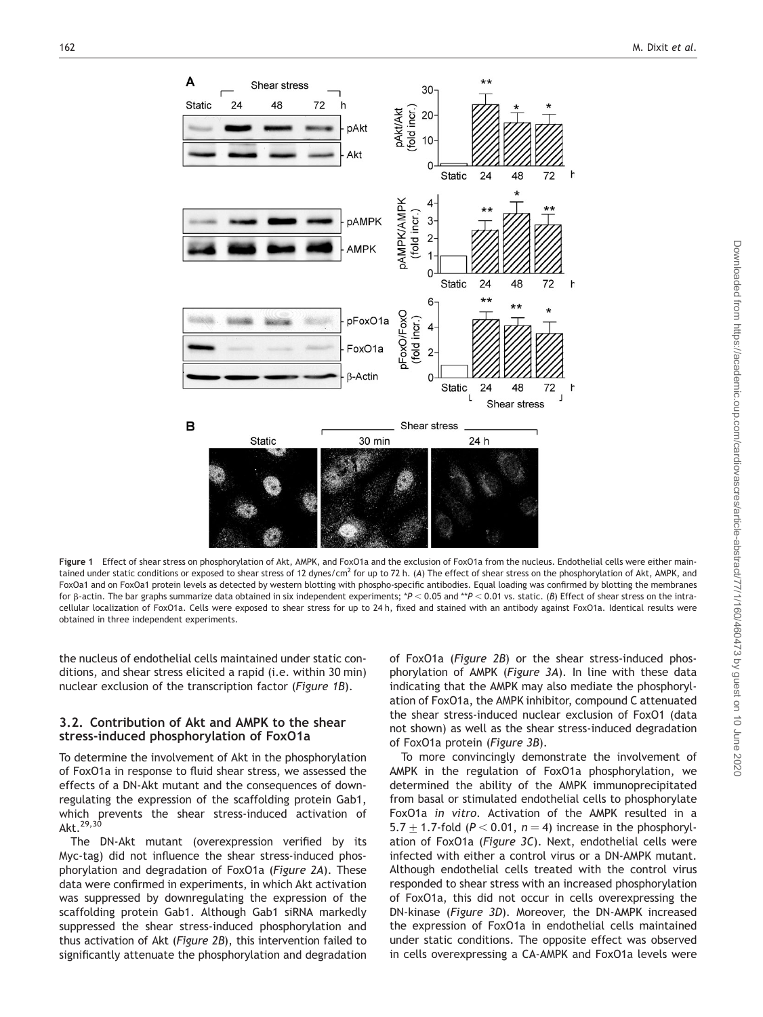

Figure 1 Effect of shear stress on phosphorylation of Akt, AMPK, and FoxO1a and the exclusion of FoxO1a from the nucleus. Endothelial cells were either maintained under static conditions or exposed to shear stress of 12 dynes/cm<sup>2</sup> for up to 72 h. (A) The effect of shear stress on the phosphorylation of Akt, AMPK, and FoxOa1 and on FoxOa1 protein levels as detected by western blotting with phospho-specific antibodies. Equal loading was confirmed by blotting the membranes for  $\beta$ -actin. The bar graphs summarize data obtained in six independent experiments; \*P < 0.05 and \*\*P < 0.01 vs. static. (B) Effect of shear stress on the intracellular localization of FoxO1a. Cells were exposed to shear stress for up to 24 h, fixed and stained with an antibody against FoxO1a. Identical results were obtained in three independent experiments.

the nucleus of endothelial cells maintained under static conditions, and shear stress elicited a rapid (i.e. within 30 min) nuclear exclusion of the transcription factor (Figure 1B).

#### 3.2. Contribution of Akt and AMPK to the shear stress-induced phosphorylation of FoxO1a

To determine the involvement of Akt in the phosphorylation of FoxO1a in response to fluid shear stress, we assessed the effects of a DN-Akt mutant and the consequences of downregulating the expression of the scaffolding protein Gab1, which prevents the shear stress-induced activation of Akt.<sup>29,30</sup>

The DN-Akt mutant (overexpression verified by its Myc-tag) did not influence the shear stress-induced phosphorylation and degradation of FoxO1a (Figure 2A). These data were confirmed in experiments, in which Akt activation was suppressed by downregulating the expression of the scaffolding protein Gab1. Although Gab1 siRNA markedly suppressed the shear stress-induced phosphorylation and thus activation of Akt (Figure 2B), this intervention failed to significantly attenuate the phosphorylation and degradation

of FoxO1a (Figure 2B) or the shear stress-induced phosphorylation of AMPK (Figure 3A). In line with these data indicating that the AMPK may also mediate the phosphorylation of FoxO1a, the AMPK inhibitor, compound C attenuated the shear stress-induced nuclear exclusion of FoxO1 (data not shown) as well as the shear stress-induced degradation of FoxO1a protein (Figure 3B).

To more convincingly demonstrate the involvement of AMPK in the regulation of FoxO1a phosphorylation, we determined the ability of the AMPK immunoprecipitated from basal or stimulated endothelial cells to phosphorylate FoxO1a in vitro. Activation of the AMPK resulted in a 5.7  $\pm$  1.7-fold (P < 0.01, n = 4) increase in the phosphorylation of FoxO1a (Figure 3C). Next, endothelial cells were infected with either a control virus or a DN-AMPK mutant. Although endothelial cells treated with the control virus responded to shear stress with an increased phosphorylation of FoxO1a, this did not occur in cells overexpressing the DN-kinase (Figure 3D). Moreover, the DN-AMPK increased the expression of FoxO1a in endothelial cells maintained under static conditions. The opposite effect was observed in cells overexpressing a CA-AMPK and FoxO1a levels were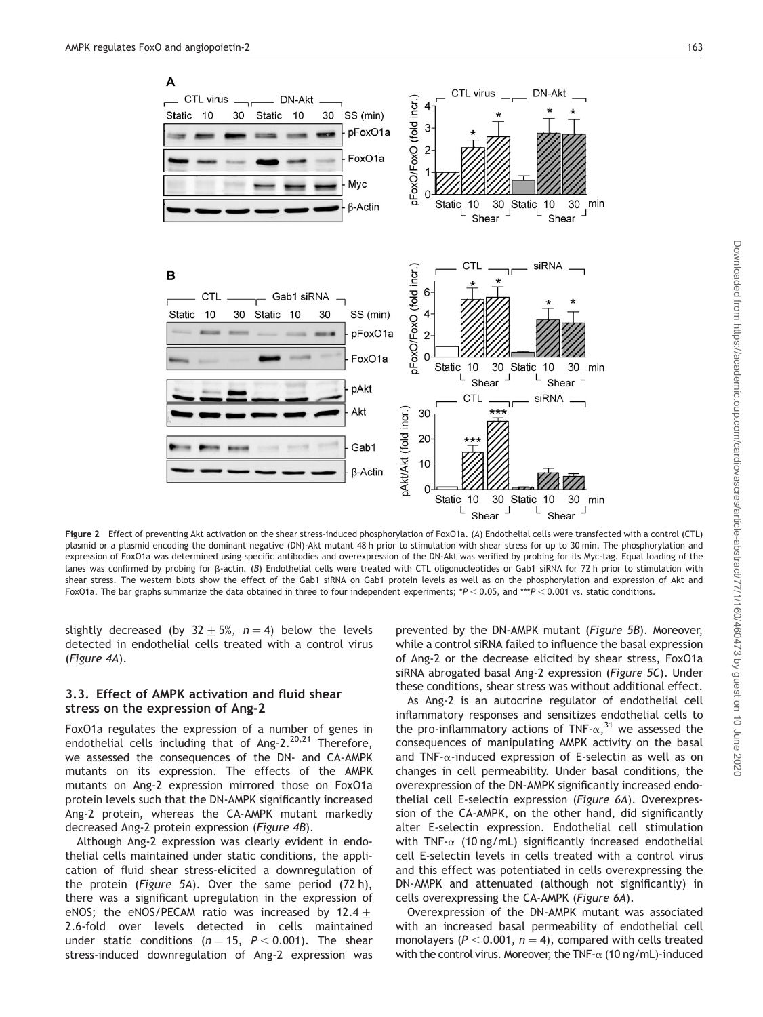



Figure 2 Effect of preventing Akt activation on the shear stress-induced phosphorylation of FoxO1a. (A) Endothelial cells were transfected with a control (CTL) plasmid or a plasmid encoding the dominant negative (DN)-Akt mutant 48 h prior to stimulation with shear stress for up to 30 min. The phosphorylation and expression of FoxO1a was determined using specific antibodies and overexpression of the DN-Akt was verified by probing for its Myc-tag. Equal loading of the lanes was confirmed by probing for  $\beta$ -actin. (B) Endothelial cells were treated with CTL oligonucleotides or Gab1 siRNA for 72 h prior to stimulation with shear stress. The western blots show the effect of the Gab1 siRNA on Gab1 protein levels as well as on the phosphorylation and expression of Akt and FoxO1a. The bar graphs summarize the data obtained in three to four independent experiments; \*P < 0.05, and \*\*\*P < 0.001 vs. static conditions.

slightly decreased (by  $32 \pm 5$ %,  $n = 4$ ) below the levels detected in endothelial cells treated with a control virus (Figure 4A).

#### 3.3. Effect of AMPK activation and fluid shear stress on the expression of Ang-2

FoxO1a regulates the expression of a number of genes in endothelial cells including that of Ang- $2.^{20,21}$  Therefore, we assessed the consequences of the DN- and CA-AMPK mutants on its expression. The effects of the AMPK mutants on Ang-2 expression mirrored those on FoxO1a protein levels such that the DN-AMPK significantly increased Ang-2 protein, whereas the CA-AMPK mutant markedly decreased Ang-2 protein expression (Figure 4B).

Although Ang-2 expression was clearly evident in endothelial cells maintained under static conditions, the application of fluid shear stress-elicited a downregulation of the protein (Figure 5A). Over the same period (72 h), there was a significant upregulation in the expression of eNOS; the eNOS/PECAM ratio was increased by  $12.4 +$ 2.6-fold over levels detected in cells maintained under static conditions ( $n = 15$ ,  $P < 0.001$ ). The shear stress-induced downregulation of Ang-2 expression was

prevented by the DN-AMPK mutant (Figure 5B). Moreover, while a control siRNA failed to influence the basal expression of Ang-2 or the decrease elicited by shear stress, FoxO1a siRNA abrogated basal Ang-2 expression (Figure 5C). Under these conditions, shear stress was without additional effect.

As Ang-2 is an autocrine regulator of endothelial cell inflammatory responses and sensitizes endothelial cells to the pro-inflammatory actions of TNF- $\alpha$ ,<sup>31</sup> we assessed the consequences of manipulating AMPK activity on the basal and TNF- $\alpha$ -induced expression of E-selectin as well as on changes in cell permeability. Under basal conditions, the overexpression of the DN-AMPK significantly increased endothelial cell E-selectin expression (Figure 6A). Overexpression of the CA-AMPK, on the other hand, did significantly alter E-selectin expression. Endothelial cell stimulation with TNF- $\alpha$  (10 ng/mL) significantly increased endothelial cell E-selectin levels in cells treated with a control virus and this effect was potentiated in cells overexpressing the DN-AMPK and attenuated (although not significantly) in cells overexpressing the CA-AMPK (Figure 6A).

Overexpression of the DN-AMPK mutant was associated with an increased basal permeability of endothelial cell monolayers ( $P < 0.001$ ,  $n = 4$ ), compared with cells treated with the control virus. Moreover, the TNF- $\alpha$  (10 ng/mL)-induced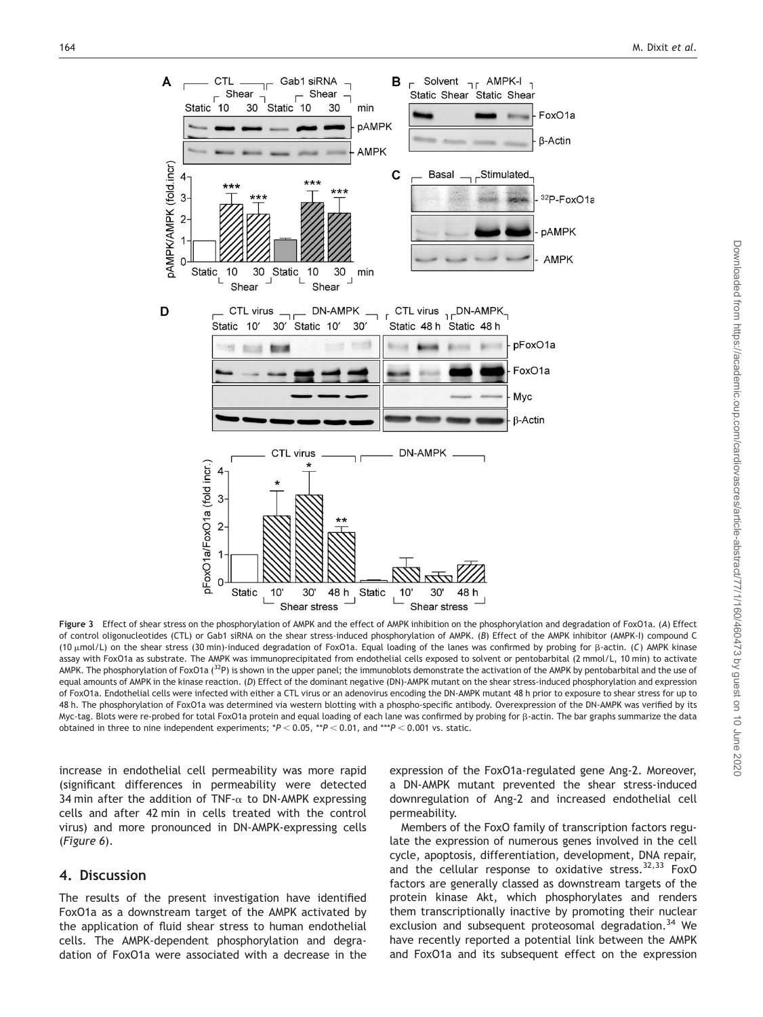

Figure 3 Effect of shear stress on the phosphorylation of AMPK and the effect of AMPK inhibition on the phosphorylation and degradation of FoxO1a. (A) Effect of control oligonucleotides (CTL) or Gab1 siRNA on the shear stress-induced phosphorylation of AMPK. (B) Effect of the AMPK inhibitor (AMPK-I) compound C (10  $\mu$ mol/L) on the shear stress (30 min)-induced degradation of FoxO1a. Equal loading of the lanes was confirmed by probing for  $\beta$ -actin. (C) AMPK kinase assay with FoxO1a as substrate. The AMPK was immunoprecipitated from endothelial cells exposed to solvent or pentobarbital (2 mmol/L, 10 min) to activate AMPK. The phosphorylation of FoxO1a (<sup>32</sup>P) is shown in the upper panel; the immunoblots demonstrate the activation of the AMPK by pentobarbital and the use of equal amounts of AMPK in the kinase reaction. (D) Effect of the dominant negative (DN)-AMPK mutant on the shear stress-induced phosphorylation and expression of FoxO1a. Endothelial cells were infected with either a CTL virus or an adenovirus encoding the DN-AMPK mutant 48 h prior to exposure to shear stress for up to 48 h. The phosphorylation of FoxO1a was determined via western blotting with a phospho-specific antibody. Overexpression of the DN-AMPK was verified by its Myc-tag. Blots were re-probed for total FoxO1a protein and equal loading of each lane was confirmed by probing for b-actin. The bar graphs summarize the data obtained in three to nine independent experiments;  $*P < 0.05$ ,  $*P < 0.01$ , and  $**P < 0.001$  vs. static.

increase in endothelial cell permeability was more rapid (significant differences in permeability were detected 34 min after the addition of TNF- $\alpha$  to DN-AMPK expressing cells and after 42 min in cells treated with the control virus) and more pronounced in DN-AMPK-expressing cells (Figure 6).

## 4. Discussion

The results of the present investigation have identified FoxO1a as a downstream target of the AMPK activated by the application of fluid shear stress to human endothelial cells. The AMPK-dependent phosphorylation and degradation of FoxO1a were associated with a decrease in the expression of the FoxO1a-regulated gene Ang-2. Moreover, a DN-AMPK mutant prevented the shear stress-induced downregulation of Ang-2 and increased endothelial cell permeability.

Members of the FoxO family of transcription factors regulate the expression of numerous genes involved in the cell cycle, apoptosis, differentiation, development, DNA repair, and the cellular response to oxidative stress. $32,33$  FoxO factors are generally classed as downstream targets of the protein kinase Akt, which phosphorylates and renders them transcriptionally inactive by promoting their nuclear exclusion and subsequent proteosomal degradation.<sup>34</sup> We have recently reported a potential link between the AMPK and FoxO1a and its subsequent effect on the expression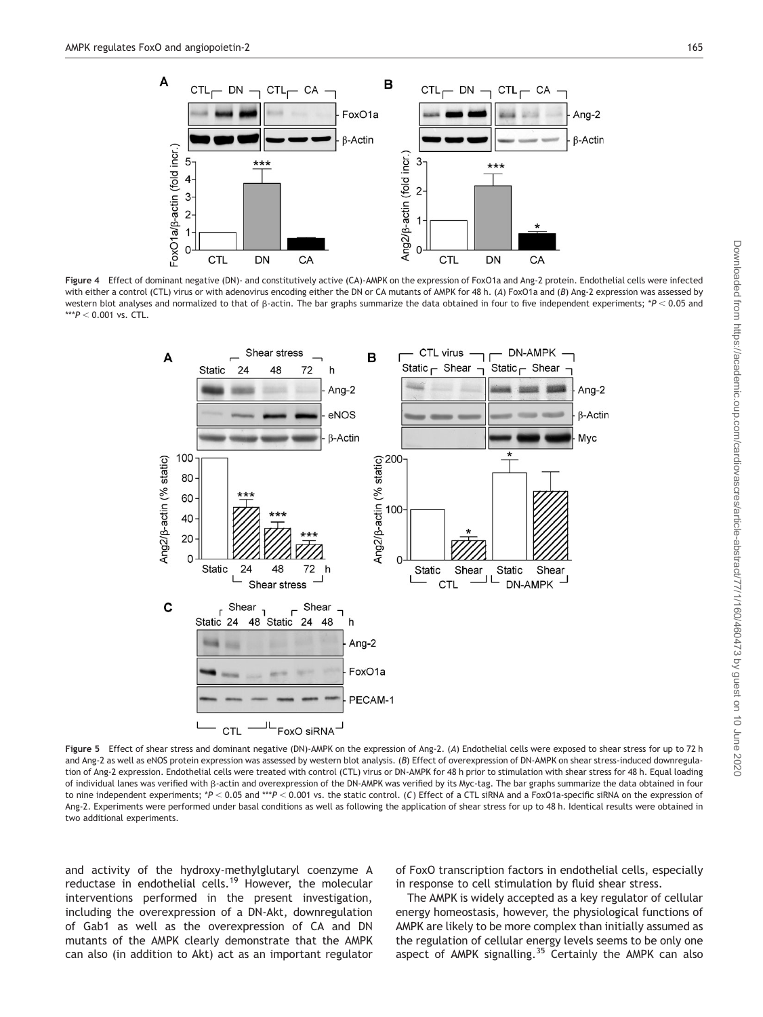

Figure 4 Effect of dominant negative (DN)- and constitutively active (CA)-AMPK on the expression of FoxO1a and Ang-2 protein. Endothelial cells were infected with either a control (CTL) virus or with adenovirus encoding either the DN or CA mutants of AMPK for 48 h. (A) FoxO1a and (B) Ang-2 expression was assessed by western blot analyses and normalized to that of  $\beta$ -actin. The bar graphs summarize the data obtained in four to five independent experiments; \*P < 0.05 and  $***P < 0.001$  vs. CTL.



Figure 5 Effect of shear stress and dominant negative (DN)-AMPK on the expression of Ang-2. (A) Endothelial cells were exposed to shear stress for up to 72 h and Ang-2 as well as eNOS protein expression was assessed by western blot analysis. (B) Effect of overexpression of DN-AMPK on shear stress-induced downregulation of Ang-2 expression. Endothelial cells were treated with control (CTL) virus or DN-AMPK for 48 h prior to stimulation with shear stress for 48 h. Equal loading of individual lanes was verified with b-actin and overexpression of the DN-AMPK was verified by its Myc-tag. The bar graphs summarize the data obtained in four to nine independent experiments; \*P < 0.05 and \*\*\*P < 0.001 vs. the static control. (C) Effect of a CTL siRNA and a FoxO1a-specific siRNA on the expression of Ang-2. Experiments were performed under basal conditions as well as following the application of shear stress for up to 48 h. Identical results were obtained in two additional experiments.

and activity of the hydroxy-methylglutaryl coenzyme A reductase in endothelial cells.<sup>19</sup> However, the molecular interventions performed in the present investigation, including the overexpression of a DN-Akt, downregulation of Gab1 as well as the overexpression of CA and DN mutants of the AMPK clearly demonstrate that the AMPK can also (in addition to Akt) act as an important regulator of FoxO transcription factors in endothelial cells, especially in response to cell stimulation by fluid shear stress.

The AMPK is widely accepted as a key regulator of cellular energy homeostasis, however, the physiological functions of AMPK are likely to be more complex than initially assumed as the regulation of cellular energy levels seems to be only one aspect of AMPK signalling.<sup>35</sup> Certainly the AMPK can also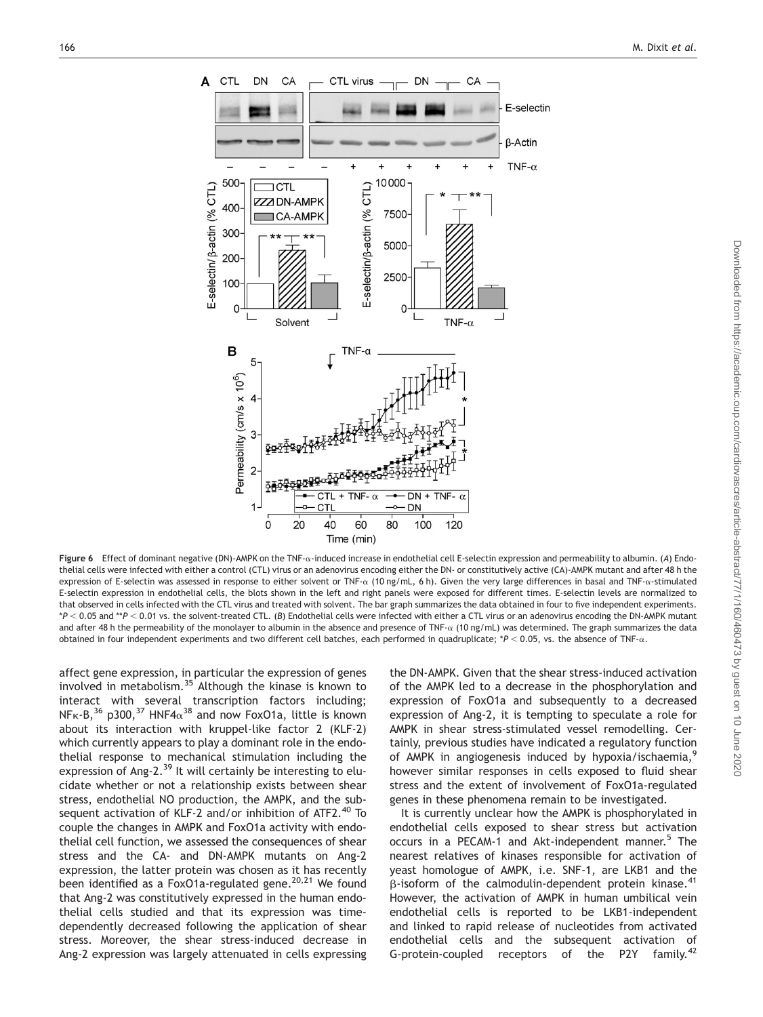

Figure 6 Effect of dominant negative (DN)-AMPK on the TNF- $\alpha$ -induced increase in endothelial cell E-selectin expression and permeability to albumin. (A) Endothelial cells were infected with either a control (CTL) virus or an adenovirus encoding either the DN- or constitutively active (CA)-AMPK mutant and after 48 h the expression of E-selectin was assessed in response to either solvent or TNF- $\alpha$  (10 ng/mL, 6 h). Given the very large differences in basal and TNF- $\alpha$ -stimulated E-selectin expression in endothelial cells, the blots shown in the left and right panels were exposed for different times. E-selectin levels are normalized to that observed in cells infected with the CTL virus and treated with solvent. The bar graph summarizes the data obtained in four to five independent experiments.  $*P < 0.05$  and  $*P < 0.01$  vs. the solvent-treated CTL. (B) Endothelial cells were infected with either a CTL virus or an adenovirus encoding the DN-AMPK mutant and after 48 h the permeability of the monolayer to albumin in the absence and presence of TNF- $\alpha$  (10 ng/mL) was determined. The graph summarizes the data obtained in four independent experiments and two different cell batches, each performed in quadruplicate;  $*P < 0.05$ , vs. the absence of TNF- $\alpha$ .

affect gene expression, in particular the expression of genes involved in metabolism.<sup>35</sup> Although the kinase is known to interact with several transcription factors including; NF<sub>K-B</sub>,<sup>36</sup> p300,<sup>37</sup> HNF4 $\alpha$ <sup>38</sup> and now FoxO1a, little is known about its interaction with kruppel-like factor 2 (KLF-2) which currently appears to play a dominant role in the endothelial response to mechanical stimulation including the expression of Ang-2.<sup>39</sup> It will certainly be interesting to elucidate whether or not a relationship exists between shear stress, endothelial NO production, the AMPK, and the subsequent activation of KLF-2 and/or inhibition of ATF2.<sup>40</sup> To couple the changes in AMPK and FoxO1a activity with endothelial cell function, we assessed the consequences of shear stress and the CA- and DN-AMPK mutants on Ang-2 expression, the latter protein was chosen as it has recently been identified as a FoxO1a-regulated gene.<sup>20,21</sup> We found that Ang-2 was constitutively expressed in the human endothelial cells studied and that its expression was timedependently decreased following the application of shear stress. Moreover, the shear stress-induced decrease in Ang-2 expression was largely attenuated in cells expressing

the DN-AMPK. Given that the shear stress-induced activation of the AMPK led to a decrease in the phosphorylation and expression of FoxO1a and subsequently to a decreased expression of Ang-2, it is tempting to speculate a role for AMPK in shear stress-stimulated vessel remodelling. Certainly, previous studies have indicated a regulatory function of AMPK in angiogenesis induced by hypoxia/ischaemia,<sup>9</sup> however similar responses in cells exposed to fluid shear stress and the extent of involvement of FoxO1a-regulated genes in these phenomena remain to be investigated.

It is currently unclear how the AMPK is phosphorylated in endothelial cells exposed to shear stress but activation occurs in a PECAM-1 and Akt-independent manner.<sup>5</sup> The nearest relatives of kinases responsible for activation of yeast homologue of AMPK, i.e. SNF-1, are LKB1 and the  $\beta$ -isoform of the calmodulin-dependent protein kinase.<sup>41</sup> However, the activation of AMPK in human umbilical vein endothelial cells is reported to be LKB1-independent and linked to rapid release of nucleotides from activated endothelial cells and the subsequent activation of G-protein-coupled receptors of the P2Y family.<sup>42</sup>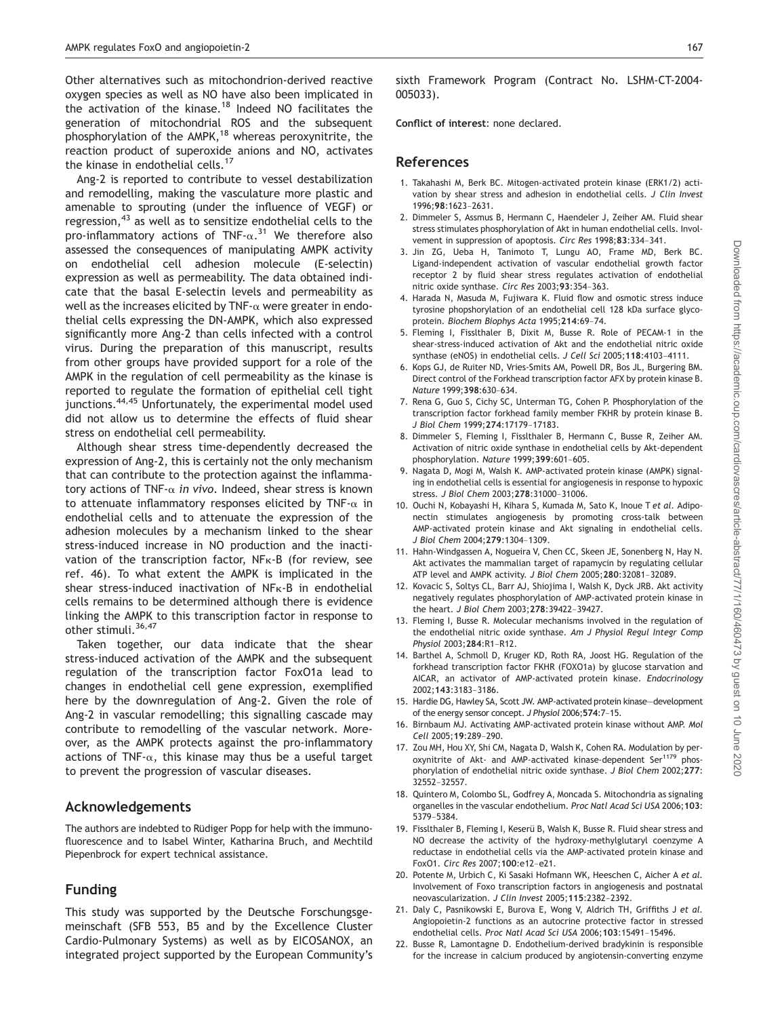Other alternatives such as mitochondrion-derived reactive oxygen species as well as NO have also been implicated in the activation of the kinase.<sup>18</sup> Indeed NO facilitates the generation of mitochondrial ROS and the subsequent phosphorylation of the AMPK,<sup>18</sup> whereas peroxynitrite, the reaction product of superoxide anions and NO, activates the kinase in endothelial cells.<sup>17</sup>

Ang-2 is reported to contribute to vessel destabilization and remodelling, making the vasculature more plastic and amenable to sprouting (under the influence of VEGF) or regression,<sup>43</sup> as well as to sensitize endothelial cells to the pro-inflammatory actions of TNF- $\alpha$ .<sup>31</sup> We therefore also assessed the consequences of manipulating AMPK activity on endothelial cell adhesion molecule (E-selectin) expression as well as permeability. The data obtained indicate that the basal E-selectin levels and permeability as well as the increases elicited by TNF- $\alpha$  were greater in endothelial cells expressing the DN-AMPK, which also expressed significantly more Ang-2 than cells infected with a control virus. During the preparation of this manuscript, results from other groups have provided support for a role of the AMPK in the regulation of cell permeability as the kinase is reported to regulate the formation of epithelial cell tight junctions.<sup>44,45</sup> Unfortunately, the experimental model used did not allow us to determine the effects of fluid shear stress on endothelial cell permeability.

Although shear stress time-dependently decreased the expression of Ang-2, this is certainly not the only mechanism that can contribute to the protection against the inflammatory actions of TNF- $\alpha$  in vivo. Indeed, shear stress is known to attenuate inflammatory responses elicited by TNF- $\alpha$  in endothelial cells and to attenuate the expression of the adhesion molecules by a mechanism linked to the shear stress-induced increase in NO production and the inactivation of the transcription factor,  $NF_K-B$  (for review, see ref. 46). To what extent the AMPK is implicated in the shear stress-induced inactivation of NFk-B in endothelial cells remains to be determined although there is evidence linking the AMPK to this transcription factor in response to other stimuli.<sup>36,47</sup>

Taken together, our data indicate that the shear stress-induced activation of the AMPK and the subsequent regulation of the transcription factor FoxO1a lead to changes in endothelial cell gene expression, exemplified here by the downregulation of Ang-2. Given the role of Ang-2 in vascular remodelling; this signalling cascade may contribute to remodelling of the vascular network. Moreover, as the AMPK protects against the pro-inflammatory actions of TNF- $\alpha$ , this kinase may thus be a useful target to prevent the progression of vascular diseases.

## Acknowledgements

The authors are indebted to Rüdiger Popp for help with the immunofluorescence and to Isabel Winter, Katharina Bruch, and Mechtild Piepenbrock for expert technical assistance.

## Funding

This study was supported by the Deutsche Forschungsgemeinschaft (SFB 553, B5 and by the Excellence Cluster Cardio-Pulmonary Systems) as well as by EICOSANOX, an integrated project supported by the European Community's sixth Framework Program (Contract No. LSHM-CT-2004- 005033).

Conflict of interest: none declared.

## References

- 1. Takahashi M, Berk BC. Mitogen-activated protein kinase (ERK1/2) activation by shear stress and adhesion in endothelial cells. J Clin Invest 1996;<sup>98</sup>:1623–2631.
- 2. Dimmeler S, Assmus B, Hermann C, Haendeler J, Zeiher AM. Fluid shear stress stimulates phosphorylation of Akt in human endothelial cells. Involvement in suppression of apoptosis. Circ Res 1998;<sup>83</sup>:334–341.
- 3. Jin ZG, Ueba H, Tanimoto T, Lungu AO, Frame MD, Berk BC. Ligand-independent activation of vascular endothelial growth factor receptor 2 by fluid shear stress regulates activation of endothelial nitric oxide synthase. Circ Res 2003;<sup>93</sup>:354–363.
- 4. Harada N, Masuda M, Fujiwara K. Fluid flow and osmotic stress induce tyrosine phopshorylation of an endothelial cell 128 kDa surface glycoprotein. Biochem Biophys Acta 1995;<sup>214</sup>:69–74.
- 5. Fleming I, Fisslthaler B, Dixit M, Busse R. Role of PECAM-1 in the shear-stress-induced activation of Akt and the endothelial nitric oxide synthase (eNOS) in endothelial cells. J Cell Sci 2005;<sup>118</sup>:4103–4111.
- 6. Kops GJ, de Ruiter ND, Vries-Smits AM, Powell DR, Bos JL, Burgering BM. Direct control of the Forkhead transcription factor AFX by protein kinase B. Nature 1999;<sup>398</sup>:630–634.
- 7. Rena G, Guo S, Cichy SC, Unterman TG, Cohen P. Phosphorylation of the transcription factor forkhead family member FKHR by protein kinase B. J Biol Chem 1999;<sup>274</sup>:17179–17183.
- 8. Dimmeler S, Fleming I, Fisslthaler B, Hermann C, Busse R, Zeiher AM. Activation of nitric oxide synthase in endothelial cells by Akt-dependent phosphorylation. Nature 1999;<sup>399</sup>:601–605.
- 9. Nagata D, Mogi M, Walsh K. AMP-activated protein kinase (AMPK) signaling in endothelial cells is essential for angiogenesis in response to hypoxic stress. J Biol Chem 2003;<sup>278</sup>:31000–31006.
- 10. Ouchi N, Kobayashi H, Kihara S, Kumada M, Sato K, Inoue T et al. Adiponectin stimulates angiogenesis by promoting cross-talk between AMP-activated protein kinase and Akt signaling in endothelial cells. J Biol Chem 2004;<sup>279</sup>:1304–1309.
- 11. Hahn-Windgassen A, Nogueira V, Chen CC, Skeen JE, Sonenberg N, Hay N. Akt activates the mammalian target of rapamycin by regulating cellular ATP level and AMPK activity. J Biol Chem 2005;<sup>280</sup>:32081–32089.
- 12. Kovacic S, Soltys CL, Barr AJ, Shiojima I, Walsh K, Dyck JRB. Akt activity negatively regulates phosphorylation of AMP-activated protein kinase in the heart. J Biol Chem 2003;<sup>278</sup>:39422–39427.
- 13. Fleming I, Busse R. Molecular mechanisms involved in the regulation of the endothelial nitric oxide synthase. Am J Physiol Regul Integr Comp Physiol 2003;<sup>284</sup>:R1–R12.
- 14. Barthel A, Schmoll D, Kruger KD, Roth RA, Joost HG. Regulation of the forkhead transcription factor FKHR (FOXO1a) by glucose starvation and AICAR, an activator of AMP-activated protein kinase. Endocrinology 2002;<sup>143</sup>:3183–3186.
- 15. Hardie DG, Hawley SA, Scott JW. AMP-activated protein kinase—development of the energy sensor concept. J Physiol 2006;<sup>574</sup>:7–15.
- 16. Birnbaum MJ. Activating AMP-activated protein kinase without AMP. Mol Cell 2005;<sup>19</sup>:289–290.
- 17. Zou MH, Hou XY, Shi CM, Nagata D, Walsh K, Cohen RA. Modulation by peroxynitrite of Akt- and AMP-activated kinase-dependent Ser<sup>1179</sup> phosphorylation of endothelial nitric oxide synthase. J Biol Chem 2002;277: 32552–32557.
- 18. Quintero M, Colombo SL, Godfrey A, Moncada S. Mitochondria as signaling organelles in the vascular endothelium. Proc Natl Acad Sci USA 2006;103: 5379–5384.
- 19. Fisslthaler B, Fleming I, Keserü B, Walsh K, Busse R. Fluid shear stress and NO decrease the activity of the hydroxy-methylglutaryl coenzyme A reductase in endothelial cells via the AMP-activated protein kinase and FoxO1. Circ Res 2007;<sup>100</sup>:e12–e21.
- 20. Potente M, Urbich C, Ki Sasaki Hofmann WK, Heeschen C, Aicher A et al. Involvement of Foxo transcription factors in angiogenesis and postnatal neovascularization. J Clin Invest 2005;<sup>115</sup>:2382–2392.
- 21. Daly C, Pasnikowski E, Burova E, Wong V, Aldrich TH, Griffiths J et al. Angiopoietin-2 functions as an autocrine protective factor in stressed endothelial cells. Proc Natl Acad Sci USA 2006;<sup>103</sup>:15491–15496.
- 22. Busse R, Lamontagne D. Endothelium-derived bradykinin is responsible for the increase in calcium produced by angiotensin-converting enzyme